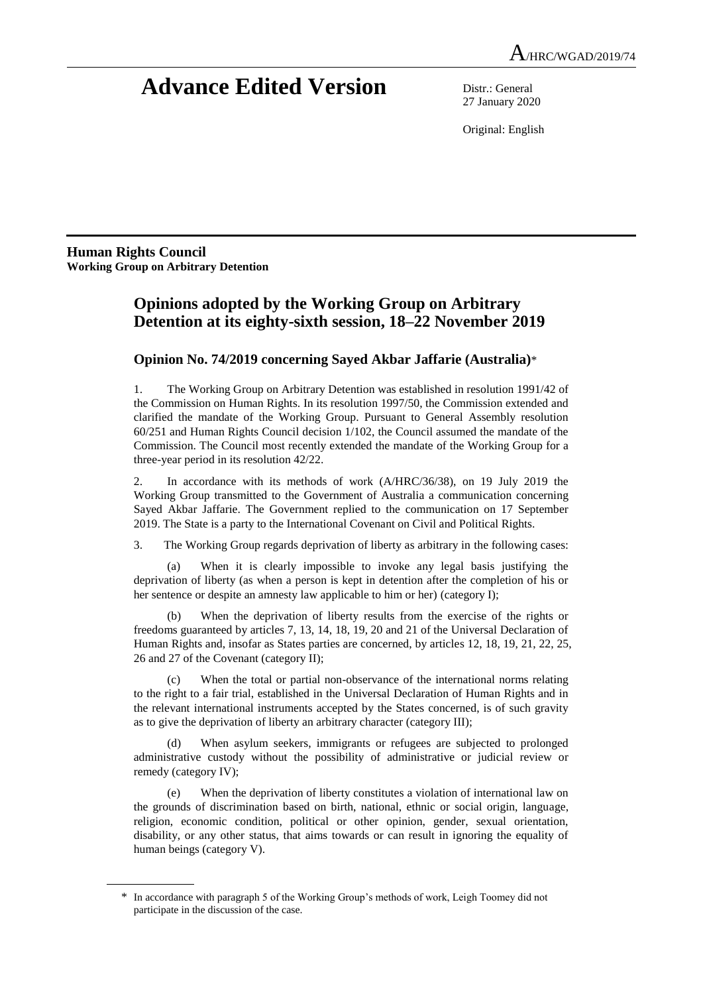# **Advance Edited Version** Distr.: General

27 January 2020

Original: English

**Human Rights Council Working Group on Arbitrary Detention**

## **Opinions adopted by the Working Group on Arbitrary Detention at its eighty-sixth session, 18–22 November 2019**

### **Opinion No. 74/2019 concerning Sayed Akbar Jaffarie (Australia)**\*

1. The Working Group on Arbitrary Detention was established in resolution 1991/42 of the Commission on Human Rights. In its resolution 1997/50, the Commission extended and clarified the mandate of the Working Group. Pursuant to General Assembly resolution 60/251 and Human Rights Council decision 1/102, the Council assumed the mandate of the Commission. The Council most recently extended the mandate of the Working Group for a three-year period in its resolution 42/22.

2. In accordance with its methods of work (A/HRC/36/38), on 19 July 2019 the Working Group transmitted to the Government of Australia a communication concerning Sayed Akbar Jaffarie. The Government replied to the communication on 17 September 2019. The State is a party to the International Covenant on Civil and Political Rights.

3. The Working Group regards deprivation of liberty as arbitrary in the following cases:

(a) When it is clearly impossible to invoke any legal basis justifying the deprivation of liberty (as when a person is kept in detention after the completion of his or her sentence or despite an amnesty law applicable to him or her) (category I);

(b) When the deprivation of liberty results from the exercise of the rights or freedoms guaranteed by articles 7, 13, 14, 18, 19, 20 and 21 of the Universal Declaration of Human Rights and, insofar as States parties are concerned, by articles 12, 18, 19, 21, 22, 25, 26 and 27 of the Covenant (category II);

(c) When the total or partial non-observance of the international norms relating to the right to a fair trial, established in the Universal Declaration of Human Rights and in the relevant international instruments accepted by the States concerned, is of such gravity as to give the deprivation of liberty an arbitrary character (category III);

(d) When asylum seekers, immigrants or refugees are subjected to prolonged administrative custody without the possibility of administrative or judicial review or remedy (category IV);

(e) When the deprivation of liberty constitutes a violation of international law on the grounds of discrimination based on birth, national, ethnic or social origin, language, religion, economic condition, political or other opinion, gender, sexual orientation, disability, or any other status, that aims towards or can result in ignoring the equality of human beings (category V).

<sup>\*</sup> In accordance with paragraph 5 of the Working Group's methods of work, Leigh Toomey did not participate in the discussion of the case.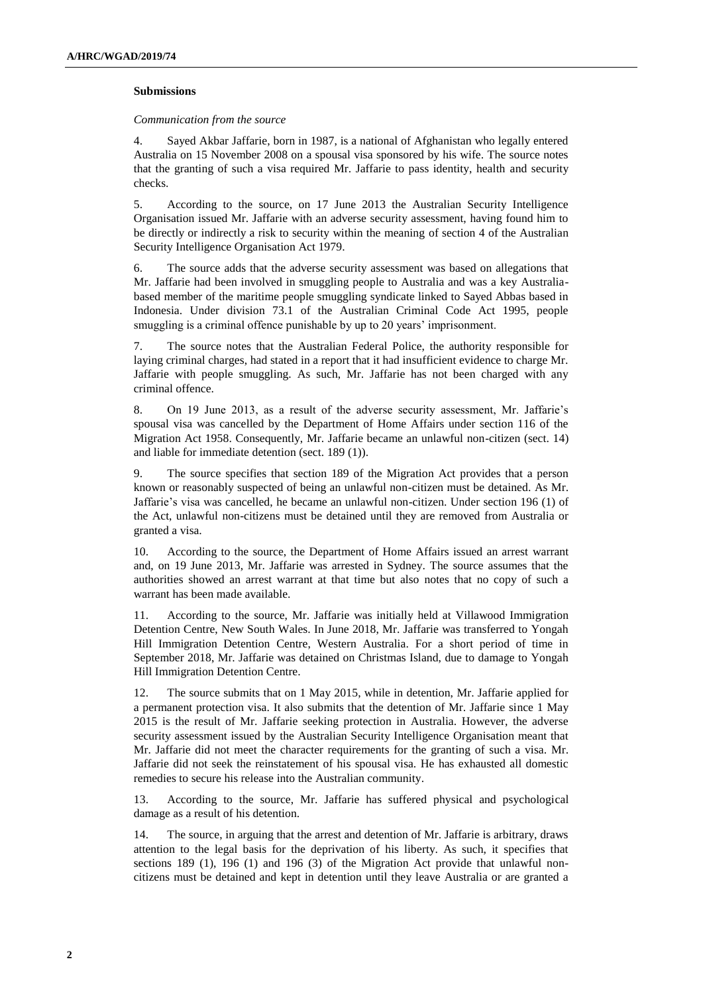#### **Submissions**

#### *Communication from the source*

4. Sayed Akbar Jaffarie, born in 1987, is a national of Afghanistan who legally entered Australia on 15 November 2008 on a spousal visa sponsored by his wife. The source notes that the granting of such a visa required Mr. Jaffarie to pass identity, health and security checks.

5. According to the source, on 17 June 2013 the Australian Security Intelligence Organisation issued Mr. Jaffarie with an adverse security assessment, having found him to be directly or indirectly a risk to security within the meaning of section 4 of the Australian Security Intelligence Organisation Act 1979.

6. The source adds that the adverse security assessment was based on allegations that Mr. Jaffarie had been involved in smuggling people to Australia and was a key Australiabased member of the maritime people smuggling syndicate linked to Sayed Abbas based in Indonesia. Under division 73.1 of the Australian Criminal Code Act 1995, people smuggling is a criminal offence punishable by up to 20 years' imprisonment.

7. The source notes that the Australian Federal Police, the authority responsible for laying criminal charges, had stated in a report that it had insufficient evidence to charge Mr. Jaffarie with people smuggling. As such, Mr. Jaffarie has not been charged with any criminal offence.

8. On 19 June 2013, as a result of the adverse security assessment, Mr. Jaffarie's spousal visa was cancelled by the Department of Home Affairs under section 116 of the Migration Act 1958. Consequently, Mr. Jaffarie became an unlawful non-citizen (sect. 14) and liable for immediate detention (sect. 189 (1)).

9. The source specifies that section 189 of the Migration Act provides that a person known or reasonably suspected of being an unlawful non-citizen must be detained. As Mr. Jaffarie's visa was cancelled, he became an unlawful non-citizen. Under section 196 (1) of the Act, unlawful non-citizens must be detained until they are removed from Australia or granted a visa.

10. According to the source, the Department of Home Affairs issued an arrest warrant and, on 19 June 2013, Mr. Jaffarie was arrested in Sydney. The source assumes that the authorities showed an arrest warrant at that time but also notes that no copy of such a warrant has been made available.

11. According to the source, Mr. Jaffarie was initially held at Villawood Immigration Detention Centre, New South Wales. In June 2018, Mr. Jaffarie was transferred to Yongah Hill Immigration Detention Centre, Western Australia. For a short period of time in September 2018, Mr. Jaffarie was detained on Christmas Island, due to damage to Yongah Hill Immigration Detention Centre.

12. The source submits that on 1 May 2015, while in detention, Mr. Jaffarie applied for a permanent protection visa. It also submits that the detention of Mr. Jaffarie since 1 May 2015 is the result of Mr. Jaffarie seeking protection in Australia. However, the adverse security assessment issued by the Australian Security Intelligence Organisation meant that Mr. Jaffarie did not meet the character requirements for the granting of such a visa. Mr. Jaffarie did not seek the reinstatement of his spousal visa. He has exhausted all domestic remedies to secure his release into the Australian community.

13. According to the source, Mr. Jaffarie has suffered physical and psychological damage as a result of his detention.

14. The source, in arguing that the arrest and detention of Mr. Jaffarie is arbitrary, draws attention to the legal basis for the deprivation of his liberty. As such, it specifies that sections 189 (1), 196 (1) and 196 (3) of the Migration Act provide that unlawful noncitizens must be detained and kept in detention until they leave Australia or are granted a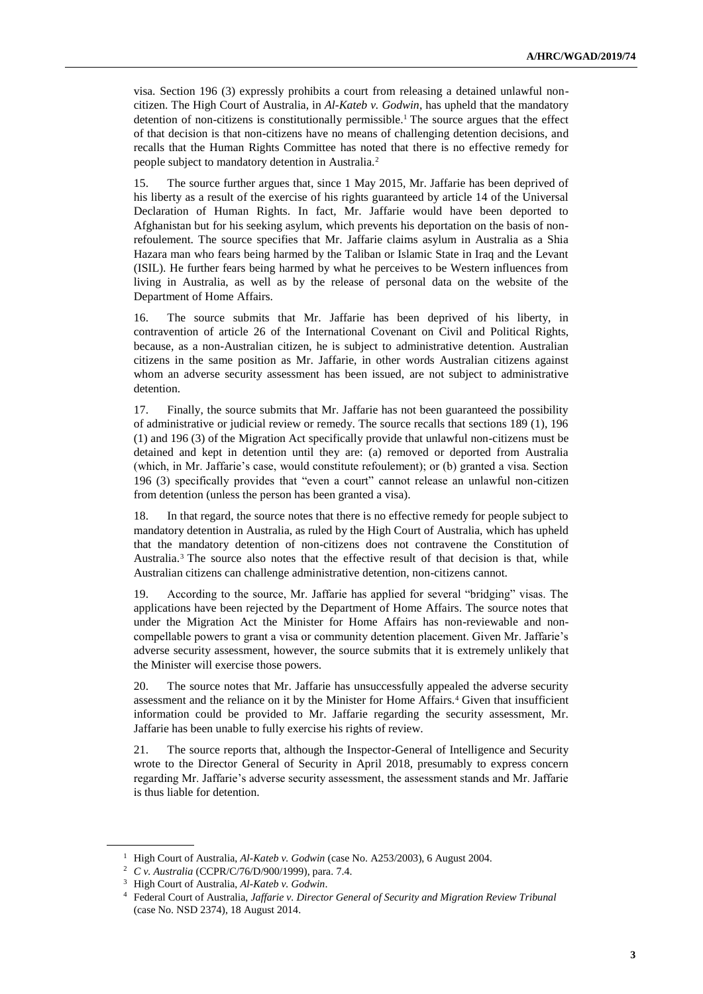visa. Section 196 (3) expressly prohibits a court from releasing a detained unlawful noncitizen. The High Court of Australia, in *Al-Kateb v. Godwin*, has upheld that the mandatory detention of non-citizens is constitutionally permissible.<sup>1</sup> The source argues that the effect of that decision is that non-citizens have no means of challenging detention decisions, and recalls that the Human Rights Committee has noted that there is no effective remedy for people subject to mandatory detention in Australia.<sup>2</sup>

15. The source further argues that, since 1 May 2015, Mr. Jaffarie has been deprived of his liberty as a result of the exercise of his rights guaranteed by article 14 of the Universal Declaration of Human Rights. In fact, Mr. Jaffarie would have been deported to Afghanistan but for his seeking asylum, which prevents his deportation on the basis of nonrefoulement. The source specifies that Mr. Jaffarie claims asylum in Australia as a Shia Hazara man who fears being harmed by the Taliban or Islamic State in Iraq and the Levant (ISIL). He further fears being harmed by what he perceives to be Western influences from living in Australia, as well as by the release of personal data on the website of the Department of Home Affairs.

16. The source submits that Mr. Jaffarie has been deprived of his liberty, in contravention of article 26 of the International Covenant on Civil and Political Rights, because, as a non-Australian citizen, he is subject to administrative detention. Australian citizens in the same position as Mr. Jaffarie, in other words Australian citizens against whom an adverse security assessment has been issued, are not subject to administrative detention.

17. Finally, the source submits that Mr. Jaffarie has not been guaranteed the possibility of administrative or judicial review or remedy. The source recalls that sections 189 (1), 196 (1) and 196 (3) of the Migration Act specifically provide that unlawful non-citizens must be detained and kept in detention until they are: (a) removed or deported from Australia (which, in Mr. Jaffarie's case, would constitute refoulement); or (b) granted a visa. Section 196 (3) specifically provides that "even a court" cannot release an unlawful non-citizen from detention (unless the person has been granted a visa).

18. In that regard, the source notes that there is no effective remedy for people subject to mandatory detention in Australia, as ruled by the High Court of Australia, which has upheld that the mandatory detention of non-citizens does not contravene the Constitution of Australia.<sup>3</sup> The source also notes that the effective result of that decision is that, while Australian citizens can challenge administrative detention, non-citizens cannot.

19. According to the source, Mr. Jaffarie has applied for several "bridging" visas. The applications have been rejected by the Department of Home Affairs. The source notes that under the Migration Act the Minister for Home Affairs has non-reviewable and noncompellable powers to grant a visa or community detention placement. Given Mr. Jaffarie's adverse security assessment, however, the source submits that it is extremely unlikely that the Minister will exercise those powers.

20. The source notes that Mr. Jaffarie has unsuccessfully appealed the adverse security assessment and the reliance on it by the Minister for Home Affairs.<sup>4</sup> Given that insufficient information could be provided to Mr. Jaffarie regarding the security assessment, Mr. Jaffarie has been unable to fully exercise his rights of review.

21. The source reports that, although the Inspector-General of Intelligence and Security wrote to the Director General of Security in April 2018, presumably to express concern regarding Mr. Jaffarie's adverse security assessment, the assessment stands and Mr. Jaffarie is thus liable for detention.

<sup>&</sup>lt;sup>1</sup> High Court of Australia, *Al-Kateb v. Godwin* (case No. A253/2003), 6 August 2004.

<sup>2</sup> *C v. Australia* (CCPR/C/76/D/900/1999), para. 7.4.

<sup>3</sup> High Court of Australia, *Al-Kateb v. Godwin*.

<sup>4</sup> Federal Court of Australia, *Jaffarie v. Director General of Security and Migration Review Tribunal* (case No. NSD 2374), 18 August 2014.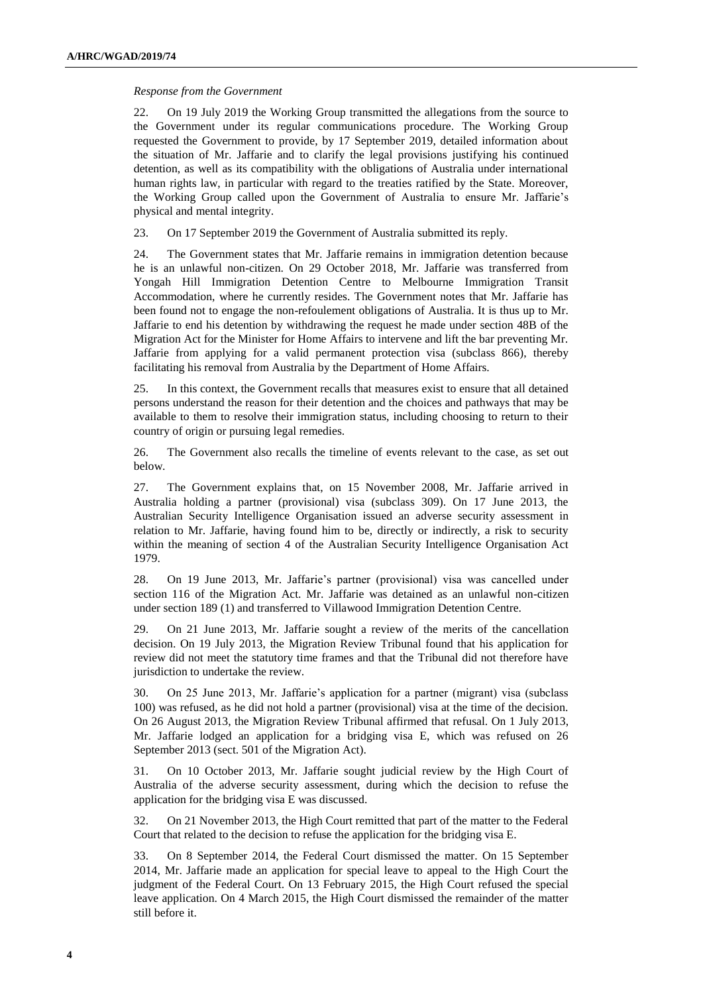#### *Response from the Government*

22. On 19 July 2019 the Working Group transmitted the allegations from the source to the Government under its regular communications procedure. The Working Group requested the Government to provide, by 17 September 2019, detailed information about the situation of Mr. Jaffarie and to clarify the legal provisions justifying his continued detention, as well as its compatibility with the obligations of Australia under international human rights law, in particular with regard to the treaties ratified by the State. Moreover, the Working Group called upon the Government of Australia to ensure Mr. Jaffarie's physical and mental integrity.

23. On 17 September 2019 the Government of Australia submitted its reply.

24. The Government states that Mr. Jaffarie remains in immigration detention because he is an unlawful non-citizen. On 29 October 2018, Mr. Jaffarie was transferred from Yongah Hill Immigration Detention Centre to Melbourne Immigration Transit Accommodation, where he currently resides. The Government notes that Mr. Jaffarie has been found not to engage the non-refoulement obligations of Australia. It is thus up to Mr. Jaffarie to end his detention by withdrawing the request he made under section 48B of the Migration Act for the Minister for Home Affairs to intervene and lift the bar preventing Mr. Jaffarie from applying for a valid permanent protection visa (subclass 866), thereby facilitating his removal from Australia by the Department of Home Affairs.

25. In this context, the Government recalls that measures exist to ensure that all detained persons understand the reason for their detention and the choices and pathways that may be available to them to resolve their immigration status, including choosing to return to their country of origin or pursuing legal remedies.

26. The Government also recalls the timeline of events relevant to the case, as set out below.

27. The Government explains that, on 15 November 2008, Mr. Jaffarie arrived in Australia holding a partner (provisional) visa (subclass 309). On 17 June 2013, the Australian Security Intelligence Organisation issued an adverse security assessment in relation to Mr. Jaffarie, having found him to be, directly or indirectly, a risk to security within the meaning of section 4 of the Australian Security Intelligence Organisation Act 1979.

28. On 19 June 2013, Mr. Jaffarie's partner (provisional) visa was cancelled under section 116 of the Migration Act. Mr. Jaffarie was detained as an unlawful non-citizen under section 189 (1) and transferred to Villawood Immigration Detention Centre.

29. On 21 June 2013, Mr. Jaffarie sought a review of the merits of the cancellation decision. On 19 July 2013, the Migration Review Tribunal found that his application for review did not meet the statutory time frames and that the Tribunal did not therefore have jurisdiction to undertake the review.

30. On 25 June 2013, Mr. Jaffarie's application for a partner (migrant) visa (subclass 100) was refused, as he did not hold a partner (provisional) visa at the time of the decision. On 26 August 2013, the Migration Review Tribunal affirmed that refusal. On 1 July 2013, Mr. Jaffarie lodged an application for a bridging visa E, which was refused on 26 September 2013 (sect. 501 of the Migration Act).

31. On 10 October 2013, Mr. Jaffarie sought judicial review by the High Court of Australia of the adverse security assessment, during which the decision to refuse the application for the bridging visa E was discussed.

32. On 21 November 2013, the High Court remitted that part of the matter to the Federal Court that related to the decision to refuse the application for the bridging visa E.

33. On 8 September 2014, the Federal Court dismissed the matter. On 15 September 2014, Mr. Jaffarie made an application for special leave to appeal to the High Court the judgment of the Federal Court. On 13 February 2015, the High Court refused the special leave application. On 4 March 2015, the High Court dismissed the remainder of the matter still before it.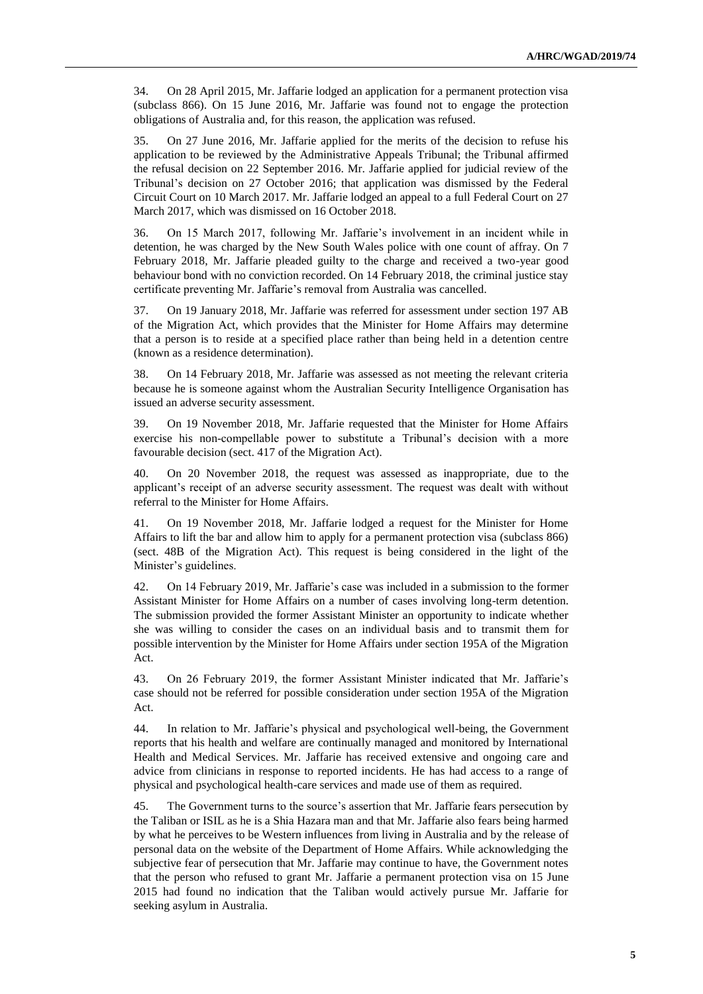34. On 28 April 2015, Mr. Jaffarie lodged an application for a permanent protection visa (subclass 866). On 15 June 2016, Mr. Jaffarie was found not to engage the protection obligations of Australia and, for this reason, the application was refused.

35. On 27 June 2016, Mr. Jaffarie applied for the merits of the decision to refuse his application to be reviewed by the Administrative Appeals Tribunal; the Tribunal affirmed the refusal decision on 22 September 2016. Mr. Jaffarie applied for judicial review of the Tribunal's decision on 27 October 2016; that application was dismissed by the Federal Circuit Court on 10 March 2017. Mr. Jaffarie lodged an appeal to a full Federal Court on 27 March 2017, which was dismissed on 16 October 2018.

36. On 15 March 2017, following Mr. Jaffarie's involvement in an incident while in detention, he was charged by the New South Wales police with one count of affray. On 7 February 2018, Mr. Jaffarie pleaded guilty to the charge and received a two-year good behaviour bond with no conviction recorded. On 14 February 2018, the criminal justice stay certificate preventing Mr. Jaffarie's removal from Australia was cancelled.

37. On 19 January 2018, Mr. Jaffarie was referred for assessment under section 197 AB of the Migration Act, which provides that the Minister for Home Affairs may determine that a person is to reside at a specified place rather than being held in a detention centre (known as a residence determination).

38. On 14 February 2018, Mr. Jaffarie was assessed as not meeting the relevant criteria because he is someone against whom the Australian Security Intelligence Organisation has issued an adverse security assessment.

39. On 19 November 2018, Mr. Jaffarie requested that the Minister for Home Affairs exercise his non-compellable power to substitute a Tribunal's decision with a more favourable decision (sect. 417 of the Migration Act).

40. On 20 November 2018, the request was assessed as inappropriate, due to the applicant's receipt of an adverse security assessment. The request was dealt with without referral to the Minister for Home Affairs.

41. On 19 November 2018, Mr. Jaffarie lodged a request for the Minister for Home Affairs to lift the bar and allow him to apply for a permanent protection visa (subclass 866) (sect. 48B of the Migration Act). This request is being considered in the light of the Minister's guidelines.

42. On 14 February 2019, Mr. Jaffarie's case was included in a submission to the former Assistant Minister for Home Affairs on a number of cases involving long-term detention. The submission provided the former Assistant Minister an opportunity to indicate whether she was willing to consider the cases on an individual basis and to transmit them for possible intervention by the Minister for Home Affairs under section 195A of the Migration Act.

43. On 26 February 2019, the former Assistant Minister indicated that Mr. Jaffarie's case should not be referred for possible consideration under section 195A of the Migration Act.

44. In relation to Mr. Jaffarie's physical and psychological well-being, the Government reports that his health and welfare are continually managed and monitored by International Health and Medical Services. Mr. Jaffarie has received extensive and ongoing care and advice from clinicians in response to reported incidents. He has had access to a range of physical and psychological health-care services and made use of them as required.

45. The Government turns to the source's assertion that Mr. Jaffarie fears persecution by the Taliban or ISIL as he is a Shia Hazara man and that Mr. Jaffarie also fears being harmed by what he perceives to be Western influences from living in Australia and by the release of personal data on the website of the Department of Home Affairs. While acknowledging the subjective fear of persecution that Mr. Jaffarie may continue to have, the Government notes that the person who refused to grant Mr. Jaffarie a permanent protection visa on 15 June 2015 had found no indication that the Taliban would actively pursue Mr. Jaffarie for seeking asylum in Australia.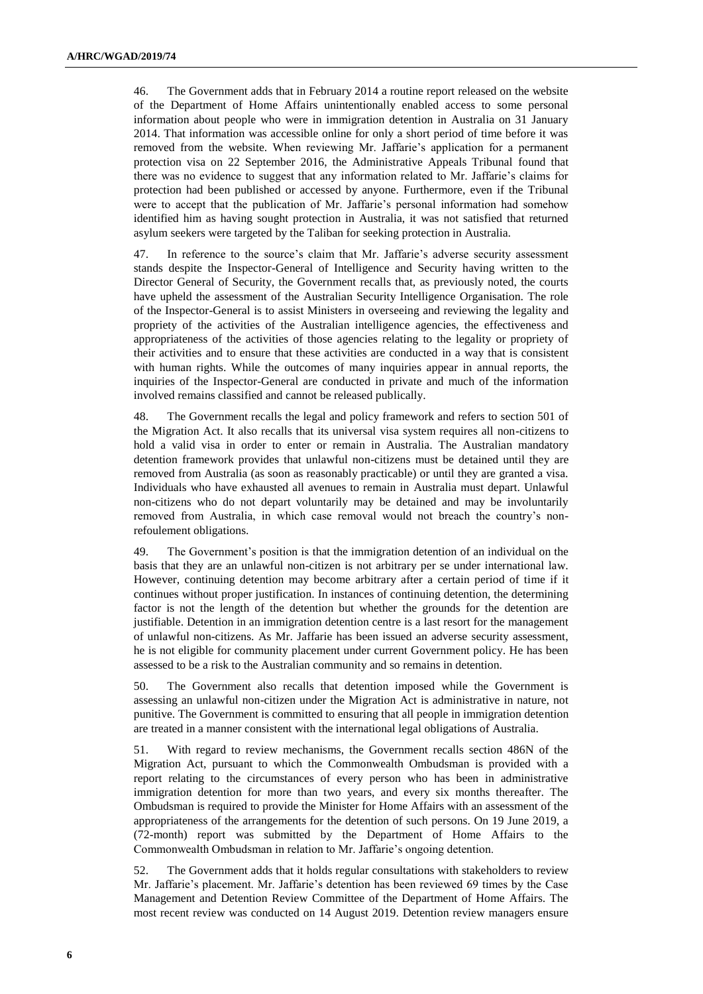46. The Government adds that in February 2014 a routine report released on the website of the Department of Home Affairs unintentionally enabled access to some personal information about people who were in immigration detention in Australia on 31 January 2014. That information was accessible online for only a short period of time before it was removed from the website. When reviewing Mr. Jaffarie's application for a permanent protection visa on 22 September 2016, the Administrative Appeals Tribunal found that there was no evidence to suggest that any information related to Mr. Jaffarie's claims for protection had been published or accessed by anyone. Furthermore, even if the Tribunal were to accept that the publication of Mr. Jaffarie's personal information had somehow identified him as having sought protection in Australia, it was not satisfied that returned asylum seekers were targeted by the Taliban for seeking protection in Australia.

47. In reference to the source's claim that Mr. Jaffarie's adverse security assessment stands despite the Inspector-General of Intelligence and Security having written to the Director General of Security, the Government recalls that, as previously noted, the courts have upheld the assessment of the Australian Security Intelligence Organisation. The role of the Inspector-General is to assist Ministers in overseeing and reviewing the legality and propriety of the activities of the Australian intelligence agencies, the effectiveness and appropriateness of the activities of those agencies relating to the legality or propriety of their activities and to ensure that these activities are conducted in a way that is consistent with human rights. While the outcomes of many inquiries appear in annual reports, the inquiries of the Inspector-General are conducted in private and much of the information involved remains classified and cannot be released publically.

48. The Government recalls the legal and policy framework and refers to section 501 of the Migration Act. It also recalls that its universal visa system requires all non-citizens to hold a valid visa in order to enter or remain in Australia. The Australian mandatory detention framework provides that unlawful non-citizens must be detained until they are removed from Australia (as soon as reasonably practicable) or until they are granted a visa. Individuals who have exhausted all avenues to remain in Australia must depart. Unlawful non-citizens who do not depart voluntarily may be detained and may be involuntarily removed from Australia, in which case removal would not breach the country's nonrefoulement obligations.

49. The Government's position is that the immigration detention of an individual on the basis that they are an unlawful non-citizen is not arbitrary per se under international law. However, continuing detention may become arbitrary after a certain period of time if it continues without proper justification. In instances of continuing detention, the determining factor is not the length of the detention but whether the grounds for the detention are justifiable. Detention in an immigration detention centre is a last resort for the management of unlawful non-citizens. As Mr. Jaffarie has been issued an adverse security assessment, he is not eligible for community placement under current Government policy. He has been assessed to be a risk to the Australian community and so remains in detention.

50. The Government also recalls that detention imposed while the Government is assessing an unlawful non-citizen under the Migration Act is administrative in nature, not punitive. The Government is committed to ensuring that all people in immigration detention are treated in a manner consistent with the international legal obligations of Australia.

51. With regard to review mechanisms, the Government recalls section 486N of the Migration Act, pursuant to which the Commonwealth Ombudsman is provided with a report relating to the circumstances of every person who has been in administrative immigration detention for more than two years, and every six months thereafter. The Ombudsman is required to provide the Minister for Home Affairs with an assessment of the appropriateness of the arrangements for the detention of such persons. On 19 June 2019, a (72-month) report was submitted by the Department of Home Affairs to the Commonwealth Ombudsman in relation to Mr. Jaffarie's ongoing detention.

52. The Government adds that it holds regular consultations with stakeholders to review Mr. Jaffarie's placement. Mr. Jaffarie's detention has been reviewed 69 times by the Case Management and Detention Review Committee of the Department of Home Affairs. The most recent review was conducted on 14 August 2019. Detention review managers ensure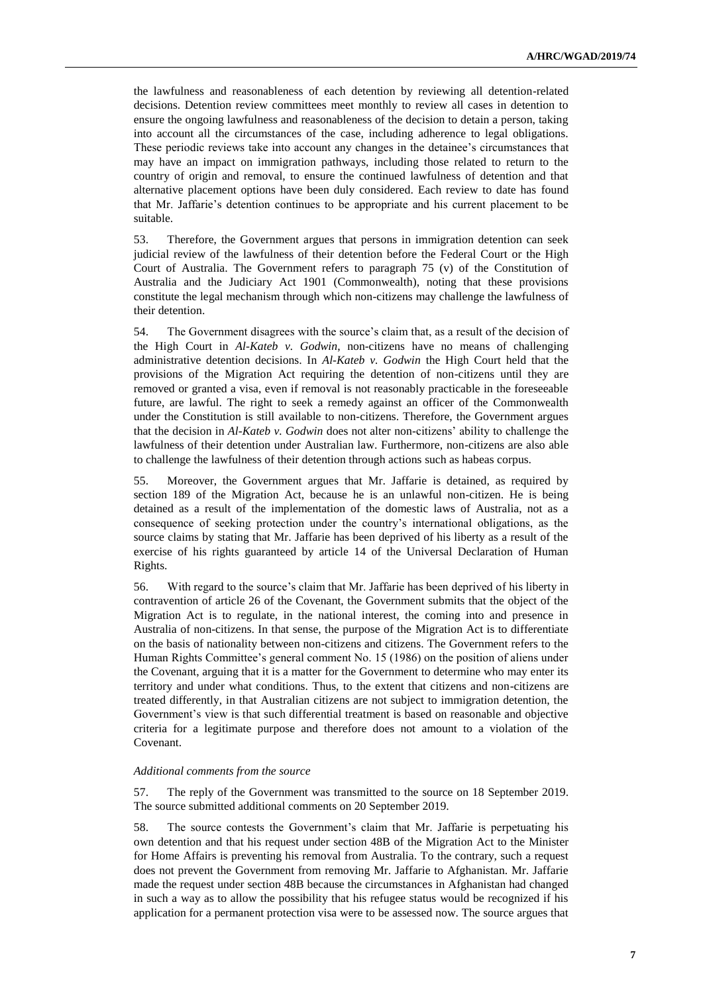the lawfulness and reasonableness of each detention by reviewing all detention-related decisions. Detention review committees meet monthly to review all cases in detention to ensure the ongoing lawfulness and reasonableness of the decision to detain a person, taking into account all the circumstances of the case, including adherence to legal obligations. These periodic reviews take into account any changes in the detainee's circumstances that may have an impact on immigration pathways, including those related to return to the country of origin and removal, to ensure the continued lawfulness of detention and that alternative placement options have been duly considered. Each review to date has found that Mr. Jaffarie's detention continues to be appropriate and his current placement to be suitable.

53. Therefore, the Government argues that persons in immigration detention can seek judicial review of the lawfulness of their detention before the Federal Court or the High Court of Australia. The Government refers to paragraph 75 (v) of the Constitution of Australia and the Judiciary Act 1901 (Commonwealth), noting that these provisions constitute the legal mechanism through which non-citizens may challenge the lawfulness of their detention.

54. The Government disagrees with the source's claim that, as a result of the decision of the High Court in *Al-Kateb v. Godwin*, non-citizens have no means of challenging administrative detention decisions. In *Al-Kateb v. Godwin* the High Court held that the provisions of the Migration Act requiring the detention of non-citizens until they are removed or granted a visa, even if removal is not reasonably practicable in the foreseeable future, are lawful. The right to seek a remedy against an officer of the Commonwealth under the Constitution is still available to non-citizens. Therefore, the Government argues that the decision in *Al-Kateb v. Godwin* does not alter non-citizens' ability to challenge the lawfulness of their detention under Australian law. Furthermore, non-citizens are also able to challenge the lawfulness of their detention through actions such as habeas corpus.

55. Moreover, the Government argues that Mr. Jaffarie is detained, as required by section 189 of the Migration Act, because he is an unlawful non-citizen. He is being detained as a result of the implementation of the domestic laws of Australia, not as a consequence of seeking protection under the country's international obligations, as the source claims by stating that Mr. Jaffarie has been deprived of his liberty as a result of the exercise of his rights guaranteed by article 14 of the Universal Declaration of Human Rights.

56. With regard to the source's claim that Mr. Jaffarie has been deprived of his liberty in contravention of article 26 of the Covenant, the Government submits that the object of the Migration Act is to regulate, in the national interest, the coming into and presence in Australia of non-citizens. In that sense, the purpose of the Migration Act is to differentiate on the basis of nationality between non-citizens and citizens. The Government refers to the Human Rights Committee's general comment No. 15 (1986) on the position of aliens under the Covenant, arguing that it is a matter for the Government to determine who may enter its territory and under what conditions. Thus, to the extent that citizens and non-citizens are treated differently, in that Australian citizens are not subject to immigration detention, the Government's view is that such differential treatment is based on reasonable and objective criteria for a legitimate purpose and therefore does not amount to a violation of the Covenant.

#### *Additional comments from the source*

57. The reply of the Government was transmitted to the source on 18 September 2019. The source submitted additional comments on 20 September 2019.

58. The source contests the Government's claim that Mr. Jaffarie is perpetuating his own detention and that his request under section 48B of the Migration Act to the Minister for Home Affairs is preventing his removal from Australia. To the contrary, such a request does not prevent the Government from removing Mr. Jaffarie to Afghanistan. Mr. Jaffarie made the request under section 48B because the circumstances in Afghanistan had changed in such a way as to allow the possibility that his refugee status would be recognized if his application for a permanent protection visa were to be assessed now. The source argues that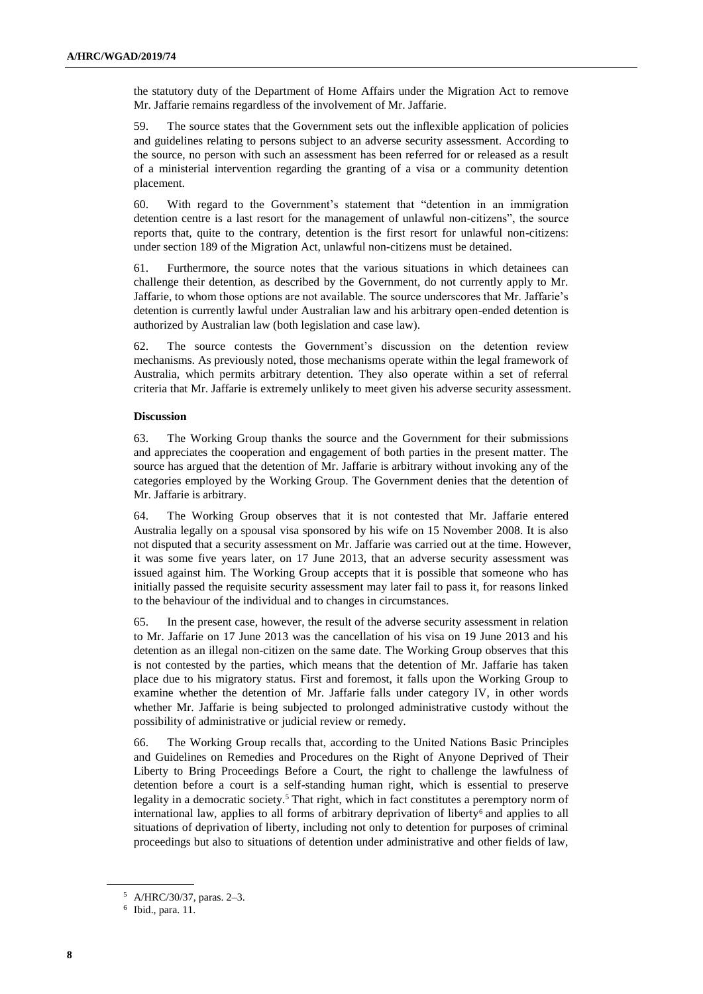the statutory duty of the Department of Home Affairs under the Migration Act to remove Mr. Jaffarie remains regardless of the involvement of Mr. Jaffarie.

59. The source states that the Government sets out the inflexible application of policies and guidelines relating to persons subject to an adverse security assessment. According to the source, no person with such an assessment has been referred for or released as a result of a ministerial intervention regarding the granting of a visa or a community detention placement.

60. With regard to the Government's statement that "detention in an immigration detention centre is a last resort for the management of unlawful non-citizens", the source reports that, quite to the contrary, detention is the first resort for unlawful non-citizens: under section 189 of the Migration Act, unlawful non-citizens must be detained.

61. Furthermore, the source notes that the various situations in which detainees can challenge their detention, as described by the Government, do not currently apply to Mr. Jaffarie, to whom those options are not available. The source underscores that Mr. Jaffarie's detention is currently lawful under Australian law and his arbitrary open-ended detention is authorized by Australian law (both legislation and case law).

62. The source contests the Government's discussion on the detention review mechanisms. As previously noted, those mechanisms operate within the legal framework of Australia, which permits arbitrary detention. They also operate within a set of referral criteria that Mr. Jaffarie is extremely unlikely to meet given his adverse security assessment.

#### **Discussion**

63. The Working Group thanks the source and the Government for their submissions and appreciates the cooperation and engagement of both parties in the present matter. The source has argued that the detention of Mr. Jaffarie is arbitrary without invoking any of the categories employed by the Working Group. The Government denies that the detention of Mr. Jaffarie is arbitrary.

64. The Working Group observes that it is not contested that Mr. Jaffarie entered Australia legally on a spousal visa sponsored by his wife on 15 November 2008. It is also not disputed that a security assessment on Mr. Jaffarie was carried out at the time. However, it was some five years later, on 17 June 2013, that an adverse security assessment was issued against him. The Working Group accepts that it is possible that someone who has initially passed the requisite security assessment may later fail to pass it, for reasons linked to the behaviour of the individual and to changes in circumstances.

65. In the present case, however, the result of the adverse security assessment in relation to Mr. Jaffarie on 17 June 2013 was the cancellation of his visa on 19 June 2013 and his detention as an illegal non-citizen on the same date. The Working Group observes that this is not contested by the parties, which means that the detention of Mr. Jaffarie has taken place due to his migratory status. First and foremost, it falls upon the Working Group to examine whether the detention of Mr. Jaffarie falls under category IV, in other words whether Mr. Jaffarie is being subjected to prolonged administrative custody without the possibility of administrative or judicial review or remedy.

66. The Working Group recalls that, according to the United Nations Basic Principles and Guidelines on Remedies and Procedures on the Right of Anyone Deprived of Their Liberty to Bring Proceedings Before a Court, the right to challenge the lawfulness of detention before a court is a self-standing human right, which is essential to preserve legality in a democratic society.<sup>5</sup> That right, which in fact constitutes a peremptory norm of international law, applies to all forms of arbitrary deprivation of liberty<sup>6</sup> and applies to all situations of deprivation of liberty, including not only to detention for purposes of criminal proceedings but also to situations of detention under administrative and other fields of law,

<sup>5</sup> A/HRC/30/37, paras. 2–3.

<sup>6</sup> Ibid., para. 11.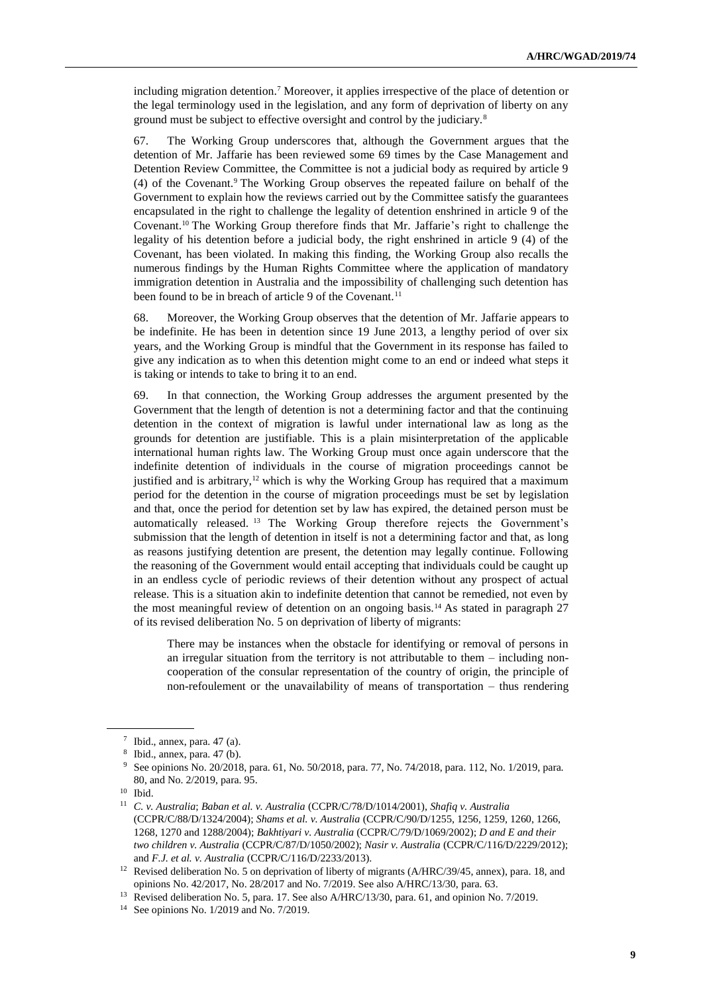including migration detention.<sup>7</sup> Moreover, it applies irrespective of the place of detention or the legal terminology used in the legislation, and any form of deprivation of liberty on any ground must be subject to effective oversight and control by the judiciary.<sup>8</sup>

67. The Working Group underscores that, although the Government argues that the detention of Mr. Jaffarie has been reviewed some 69 times by the Case Management and Detention Review Committee, the Committee is not a judicial body as required by article 9 (4) of the Covenant.<sup>9</sup> The Working Group observes the repeated failure on behalf of the Government to explain how the reviews carried out by the Committee satisfy the guarantees encapsulated in the right to challenge the legality of detention enshrined in article 9 of the Covenant.<sup>10</sup> The Working Group therefore finds that Mr. Jaffarie's right to challenge the legality of his detention before a judicial body, the right enshrined in article 9 (4) of the Covenant, has been violated. In making this finding, the Working Group also recalls the numerous findings by the Human Rights Committee where the application of mandatory immigration detention in Australia and the impossibility of challenging such detention has been found to be in breach of article 9 of the Covenant.<sup>11</sup>

68. Moreover, the Working Group observes that the detention of Mr. Jaffarie appears to be indefinite. He has been in detention since 19 June 2013, a lengthy period of over six years, and the Working Group is mindful that the Government in its response has failed to give any indication as to when this detention might come to an end or indeed what steps it is taking or intends to take to bring it to an end.

69. In that connection, the Working Group addresses the argument presented by the Government that the length of detention is not a determining factor and that the continuing detention in the context of migration is lawful under international law as long as the grounds for detention are justifiable. This is a plain misinterpretation of the applicable international human rights law. The Working Group must once again underscore that the indefinite detention of individuals in the course of migration proceedings cannot be justified and is arbitrary,<sup>12</sup> which is why the Working Group has required that a maximum period for the detention in the course of migration proceedings must be set by legislation and that, once the period for detention set by law has expired, the detained person must be automatically released. <sup>13</sup> The Working Group therefore rejects the Government's submission that the length of detention in itself is not a determining factor and that, as long as reasons justifying detention are present, the detention may legally continue. Following the reasoning of the Government would entail accepting that individuals could be caught up in an endless cycle of periodic reviews of their detention without any prospect of actual release. This is a situation akin to indefinite detention that cannot be remedied, not even by the most meaningful review of detention on an ongoing basis.<sup>14</sup> As stated in paragraph 27 of its revised deliberation No. 5 on deprivation of liberty of migrants:

There may be instances when the obstacle for identifying or removal of persons in an irregular situation from the territory is not attributable to them – including noncooperation of the consular representation of the country of origin, the principle of non-refoulement or the unavailability of means of transportation – thus rendering

 $7$  Ibid., annex, para. 47 (a).

<sup>8</sup> Ibid., annex, para. 47 (b).

<sup>9</sup> See opinions No. 20/2018, para. 61, No. 50/2018, para. 77, No. 74/2018, para. 112, No. 1/2019, para. 80, and No. 2/2019, para. 95.

<sup>10</sup> Ibid.

<sup>11</sup> *C. v. Australia*; *Baban et al. v. Australia* (CCPR/C/78/D/1014/2001), *Shafiq v. Australia*  (CCPR/C/88/D/1324/2004); *Shams et al. v. Australia* (CCPR/C/90/D/1255, 1256, 1259, 1260, 1266, 1268, 1270 and 1288/2004); *Bakhtiyari v. Australia* (CCPR/C/79/D/1069/2002); *D and E and their two children v. Australia* (CCPR/C/87/D/1050/2002); *Nasir v. Australia* (CCPR/C/116/D/2229/2012); and *F.J. et al. v. Australia* (CCPR/C/116/D/2233/2013).

<sup>&</sup>lt;sup>12</sup> Revised deliberation No. 5 on deprivation of liberty of migrants (A/HRC/39/45, annex), para. 18, and opinions No. 42/2017, No. 28/2017 and No. 7/2019. See also A/HRC/13/30, para. 63.

<sup>&</sup>lt;sup>13</sup> Revised deliberation No. 5, para. 17. See also A/HRC/13/30, para. 61, and opinion No. 7/2019.

<sup>14</sup> See opinions No. 1/2019 and No. 7/2019.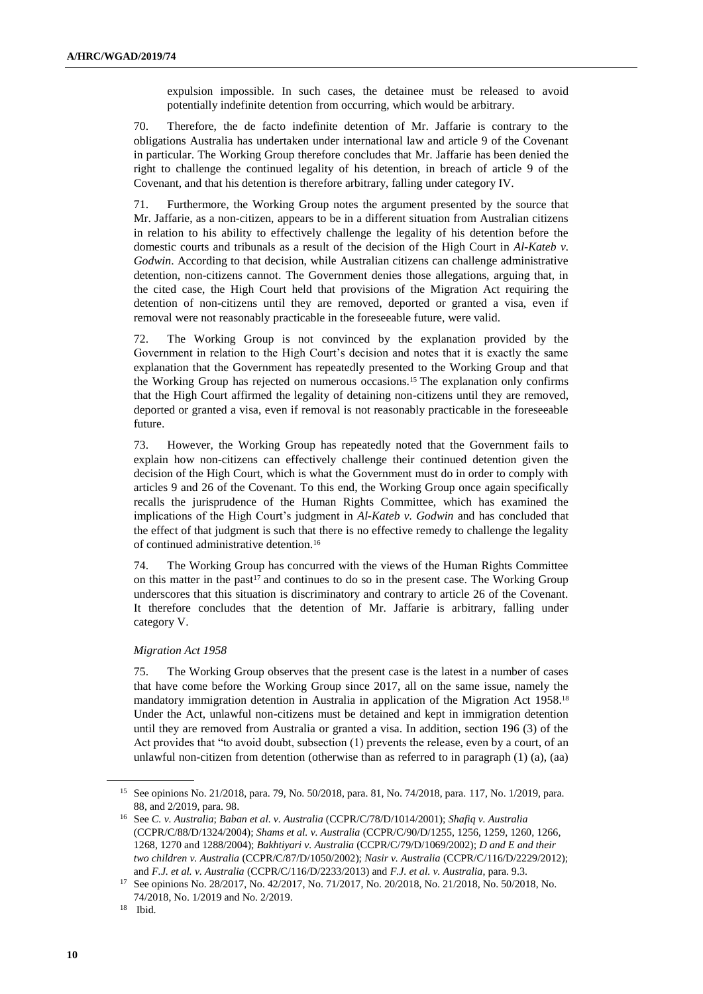expulsion impossible. In such cases, the detainee must be released to avoid potentially indefinite detention from occurring, which would be arbitrary.

70. Therefore, the de facto indefinite detention of Mr. Jaffarie is contrary to the obligations Australia has undertaken under international law and article 9 of the Covenant in particular. The Working Group therefore concludes that Mr. Jaffarie has been denied the right to challenge the continued legality of his detention, in breach of article 9 of the Covenant, and that his detention is therefore arbitrary, falling under category IV.

71. Furthermore, the Working Group notes the argument presented by the source that Mr. Jaffarie, as a non-citizen, appears to be in a different situation from Australian citizens in relation to his ability to effectively challenge the legality of his detention before the domestic courts and tribunals as a result of the decision of the High Court in *Al-Kateb v. Godwin*. According to that decision, while Australian citizens can challenge administrative detention, non-citizens cannot. The Government denies those allegations, arguing that, in the cited case, the High Court held that provisions of the Migration Act requiring the detention of non-citizens until they are removed, deported or granted a visa, even if removal were not reasonably practicable in the foreseeable future, were valid.

72. The Working Group is not convinced by the explanation provided by the Government in relation to the High Court's decision and notes that it is exactly the same explanation that the Government has repeatedly presented to the Working Group and that the Working Group has rejected on numerous occasions.<sup>15</sup> The explanation only confirms that the High Court affirmed the legality of detaining non-citizens until they are removed, deported or granted a visa, even if removal is not reasonably practicable in the foreseeable future.

73. However, the Working Group has repeatedly noted that the Government fails to explain how non-citizens can effectively challenge their continued detention given the decision of the High Court, which is what the Government must do in order to comply with articles 9 and 26 of the Covenant. To this end, the Working Group once again specifically recalls the jurisprudence of the Human Rights Committee, which has examined the implications of the High Court's judgment in *Al-Kateb v. Godwin* and has concluded that the effect of that judgment is such that there is no effective remedy to challenge the legality of continued administrative detention.<sup>16</sup>

74. The Working Group has concurred with the views of the Human Rights Committee on this matter in the past<sup>17</sup> and continues to do so in the present case. The Working Group underscores that this situation is discriminatory and contrary to article 26 of the Covenant. It therefore concludes that the detention of Mr. Jaffarie is arbitrary, falling under category V.

#### *Migration Act 1958*

75. The Working Group observes that the present case is the latest in a number of cases that have come before the Working Group since 2017, all on the same issue, namely the mandatory immigration detention in Australia in application of the Migration Act 1958.<sup>18</sup> Under the Act, unlawful non-citizens must be detained and kept in immigration detention until they are removed from Australia or granted a visa. In addition, section 196 (3) of the Act provides that "to avoid doubt, subsection (1) prevents the release, even by a court, of an unlawful non-citizen from detention (otherwise than as referred to in paragraph (1) (a), (aa)

<sup>15</sup> See opinions No. 21/2018, para. 79, No. 50/2018, para. 81, No. 74/2018, para. 117, No. 1/2019, para. 88, and 2/2019, para. 98.

<sup>16</sup> See *C. v. Australia*; *Baban et al. v. Australia* (CCPR/C/78/D/1014/2001); *Shafiq v. Australia*  (CCPR/C/88/D/1324/2004); *Shams et al. v. Australia* (CCPR/C/90/D/1255, 1256, 1259, 1260, 1266, 1268, 1270 and 1288/2004); *Bakhtiyari v. Australia* (CCPR/C/79/D/1069/2002); *D and E and their two children v. Australia* (CCPR/C/87/D/1050/2002); *Nasir v. Australia* (CCPR/C/116/D/2229/2012); and *F.J. et al. v. Australia* (CCPR/C/116/D/2233/2013) and *F.J. et al. v. Australia*, para. 9.3.

<sup>17</sup> See opinions No. 28/2017, No. 42/2017, No. 71/2017, No. 20/2018, No. 21/2018, No. 50/2018, No. 74/2018, No. 1/2019 and No. 2/2019.

<sup>18</sup> Ibid.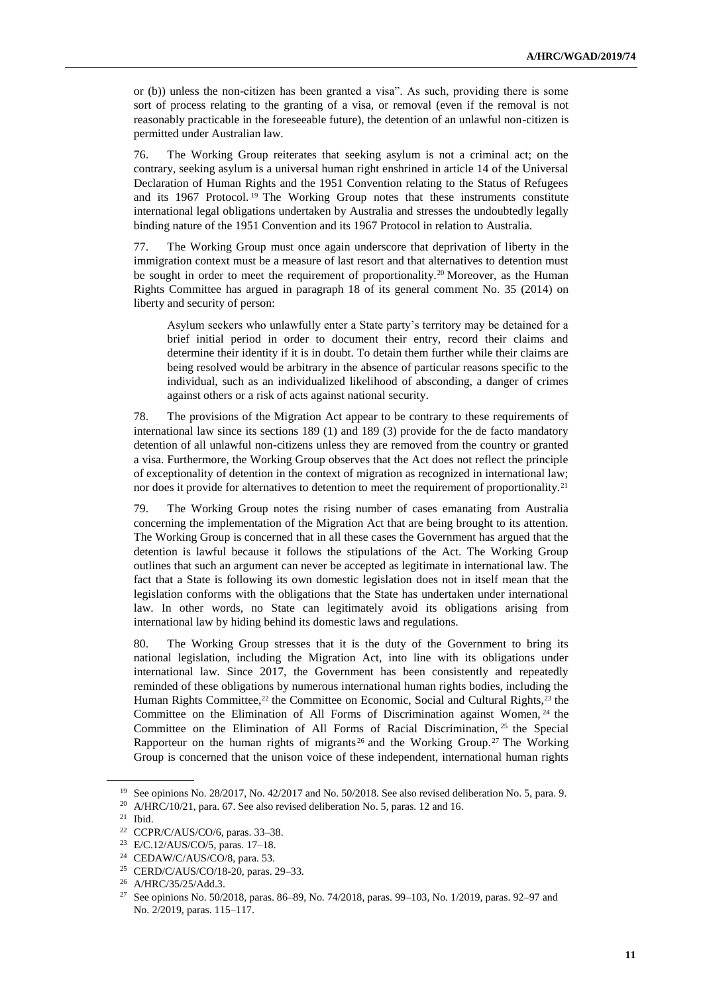or (b)) unless the non-citizen has been granted a visa". As such, providing there is some sort of process relating to the granting of a visa, or removal (even if the removal is not reasonably practicable in the foreseeable future), the detention of an unlawful non-citizen is permitted under Australian law.

76. The Working Group reiterates that seeking asylum is not a criminal act; on the contrary, seeking asylum is a universal human right enshrined in article 14 of the Universal Declaration of Human Rights and the 1951 Convention relating to the Status of Refugees and its 1967 Protocol. <sup>19</sup> The Working Group notes that these instruments constitute international legal obligations undertaken by Australia and stresses the undoubtedly legally binding nature of the 1951 Convention and its 1967 Protocol in relation to Australia.

77. The Working Group must once again underscore that deprivation of liberty in the immigration context must be a measure of last resort and that alternatives to detention must be sought in order to meet the requirement of proportionality.<sup>20</sup> Moreover, as the Human Rights Committee has argued in paragraph 18 of its general comment No. 35 (2014) on liberty and security of person:

Asylum seekers who unlawfully enter a State party's territory may be detained for a brief initial period in order to document their entry, record their claims and determine their identity if it is in doubt. To detain them further while their claims are being resolved would be arbitrary in the absence of particular reasons specific to the individual, such as an individualized likelihood of absconding, a danger of crimes against others or a risk of acts against national security.

78. The provisions of the Migration Act appear to be contrary to these requirements of international law since its sections 189 (1) and 189 (3) provide for the de facto mandatory detention of all unlawful non-citizens unless they are removed from the country or granted a visa. Furthermore, the Working Group observes that the Act does not reflect the principle of exceptionality of detention in the context of migration as recognized in international law; nor does it provide for alternatives to detention to meet the requirement of proportionality.<sup>21</sup>

79. The Working Group notes the rising number of cases emanating from Australia concerning the implementation of the Migration Act that are being brought to its attention. The Working Group is concerned that in all these cases the Government has argued that the detention is lawful because it follows the stipulations of the Act. The Working Group outlines that such an argument can never be accepted as legitimate in international law. The fact that a State is following its own domestic legislation does not in itself mean that the legislation conforms with the obligations that the State has undertaken under international law. In other words, no State can legitimately avoid its obligations arising from international law by hiding behind its domestic laws and regulations.

80. The Working Group stresses that it is the duty of the Government to bring its national legislation, including the Migration Act, into line with its obligations under international law. Since 2017, the Government has been consistently and repeatedly reminded of these obligations by numerous international human rights bodies, including the Human Rights Committee,<sup>22</sup> the Committee on Economic, Social and Cultural Rights,<sup>23</sup> the Committee on the Elimination of All Forms of Discrimination against Women, <sup>24</sup> the Committee on the Elimination of All Forms of Racial Discrimination, <sup>25</sup> the Special Rapporteur on the human rights of migrants<sup>26</sup> and the Working Group.<sup>27</sup> The Working Group is concerned that the unison voice of these independent, international human rights

<sup>&</sup>lt;sup>19</sup> See opinions No. 28/2017, No. 42/2017 and No. 50/2018. See also revised deliberation No. 5, para. 9.

<sup>20</sup> A/HRC/10/21, para. 67. See also revised deliberation No. 5, paras. 12 and 16.

<sup>21</sup> Ibid.

<sup>22</sup> CCPR/C/AUS/CO/6, paras. 33–38.

<sup>23</sup> E/C.12/AUS/CO/5, paras. 17–18.

<sup>24</sup> CEDAW/C/AUS/CO/8, para. 53.

<sup>25</sup> CERD/C/AUS/CO/18-20, paras. 29–33.

<sup>26</sup> A/HRC/35/25/Add.3.

<sup>27</sup> See opinions No. 50/2018, paras. 86–89, No. 74/2018, paras. 99–103, No. 1/2019, paras. 92–97 and No. 2/2019, paras. 115–117.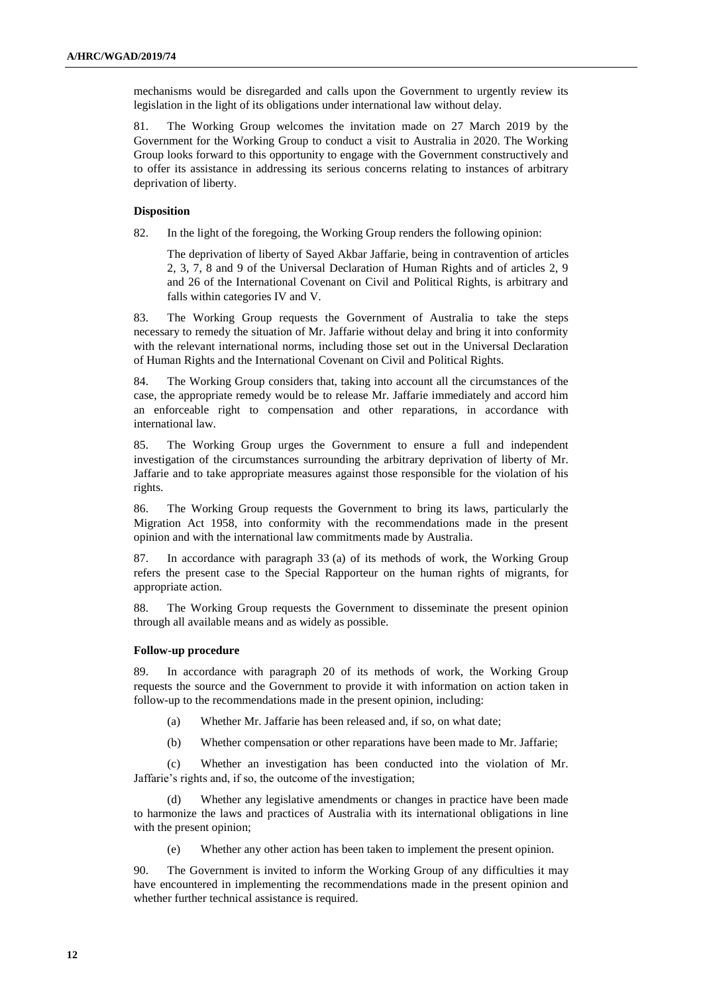mechanisms would be disregarded and calls upon the Government to urgently review its legislation in the light of its obligations under international law without delay.

81. The Working Group welcomes the invitation made on 27 March 2019 by the Government for the Working Group to conduct a visit to Australia in 2020. The Working Group looks forward to this opportunity to engage with the Government constructively and to offer its assistance in addressing its serious concerns relating to instances of arbitrary deprivation of liberty.

#### **Disposition**

82. In the light of the foregoing, the Working Group renders the following opinion:

The deprivation of liberty of Sayed Akbar Jaffarie, being in contravention of articles 2, 3, 7, 8 and 9 of the Universal Declaration of Human Rights and of articles 2, 9 and 26 of the International Covenant on Civil and Political Rights, is arbitrary and falls within categories IV and V.

83. The Working Group requests the Government of Australia to take the steps necessary to remedy the situation of Mr. Jaffarie without delay and bring it into conformity with the relevant international norms, including those set out in the Universal Declaration of Human Rights and the International Covenant on Civil and Political Rights.

84. The Working Group considers that, taking into account all the circumstances of the case, the appropriate remedy would be to release Mr. Jaffarie immediately and accord him an enforceable right to compensation and other reparations, in accordance with international law.

85. The Working Group urges the Government to ensure a full and independent investigation of the circumstances surrounding the arbitrary deprivation of liberty of Mr. Jaffarie and to take appropriate measures against those responsible for the violation of his rights.

86. The Working Group requests the Government to bring its laws, particularly the Migration Act 1958, into conformity with the recommendations made in the present opinion and with the international law commitments made by Australia.

87. In accordance with paragraph 33 (a) of its methods of work, the Working Group refers the present case to the Special Rapporteur on the human rights of migrants, for appropriate action.

88. The Working Group requests the Government to disseminate the present opinion through all available means and as widely as possible.

#### **Follow-up procedure**

89. In accordance with paragraph 20 of its methods of work, the Working Group requests the source and the Government to provide it with information on action taken in follow-up to the recommendations made in the present opinion, including:

- (a) Whether Mr. Jaffarie has been released and, if so, on what date;
- (b) Whether compensation or other reparations have been made to Mr. Jaffarie;

(c) Whether an investigation has been conducted into the violation of Mr. Jaffarie's rights and, if so, the outcome of the investigation;

(d) Whether any legislative amendments or changes in practice have been made to harmonize the laws and practices of Australia with its international obligations in line with the present opinion;

(e) Whether any other action has been taken to implement the present opinion.

90. The Government is invited to inform the Working Group of any difficulties it may have encountered in implementing the recommendations made in the present opinion and whether further technical assistance is required.